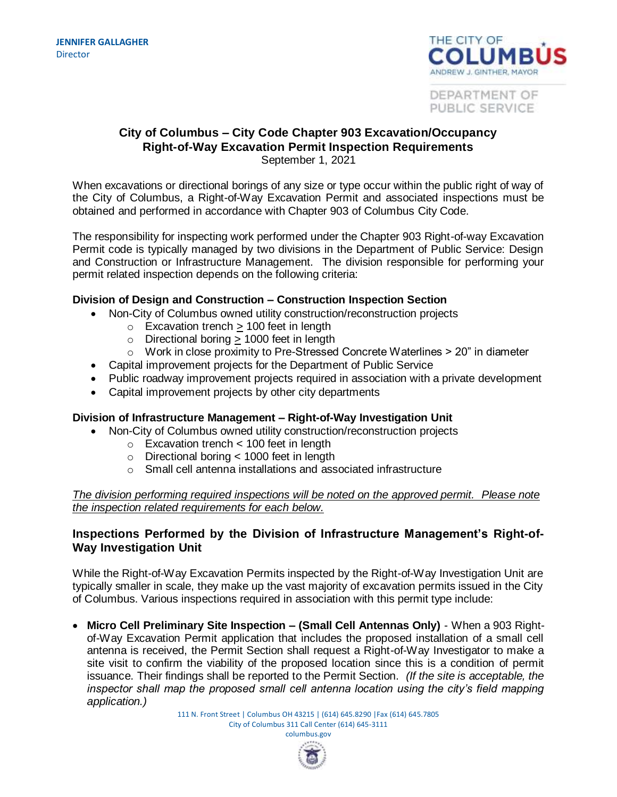

DEPARTMENT OF PUBLIC SERVICE

### **City of Columbus – City Code Chapter 903 Excavation/Occupancy Right-of-Way Excavation Permit Inspection Requirements** September 1, 2021

When excavations or directional borings of any size or type occur within the public right of way of the City of Columbus, a Right-of-Way Excavation Permit and associated inspections must be obtained and performed in accordance with Chapter 903 of Columbus City Code.

The responsibility for inspecting work performed under the Chapter 903 Right-of-way Excavation Permit code is typically managed by two divisions in the Department of Public Service: Design and Construction or Infrastructure Management. The division responsible for performing your permit related inspection depends on the following criteria:

## **Division of Design and Construction – Construction Inspection Section**

- Non-City of Columbus owned utility construction/reconstruction projects
	- $\circ$  Excavation trench  $> 100$  feet in length
	- $\circ$  Directional boring  $> 1000$  feet in length
	- $\circ$  Work in close proximity to Pre-Stressed Concrete Waterlines  $>$  20" in diameter
- Capital improvement projects for the Department of Public Service
- Public roadway improvement projects required in association with a private development
- Capital improvement projects by other city departments

## **Division of Infrastructure Management – Right-of-Way Investigation Unit**

- Non-City of Columbus owned utility construction/reconstruction projects
	- o Excavation trench < 100 feet in length
	- o Directional boring < 1000 feet in length
	- o Small cell antenna installations and associated infrastructure

## *The division performing required inspections will be noted on the approved permit. Please note the inspection related requirements for each below.*

# **Inspections Performed by the Division of Infrastructure Management's Right-of-Way Investigation Unit**

While the Right-of-Way Excavation Permits inspected by the Right-of-Way Investigation Unit are typically smaller in scale, they make up the vast majority of excavation permits issued in the City of Columbus. Various inspections required in association with this permit type include:

 **Micro Cell Preliminary Site Inspection – (Small Cell Antennas Only)** - When a 903 Rightof-Way Excavation Permit application that includes the proposed installation of a small cell antenna is received, the Permit Section shall request a Right-of-Way Investigator to make a site visit to confirm the viability of the proposed location since this is a condition of permit issuance. Their findings shall be reported to the Permit Section. *(If the site is acceptable, the inspector shall map the proposed small cell antenna location using the city's field mapping application.)* 

> 111 N. Front Street | Columbus OH 43215 | (614) 645.8290 |Fax (614) 645.7805 City of Columbus 311 Call Center (614) 645-3111 columbus.gov

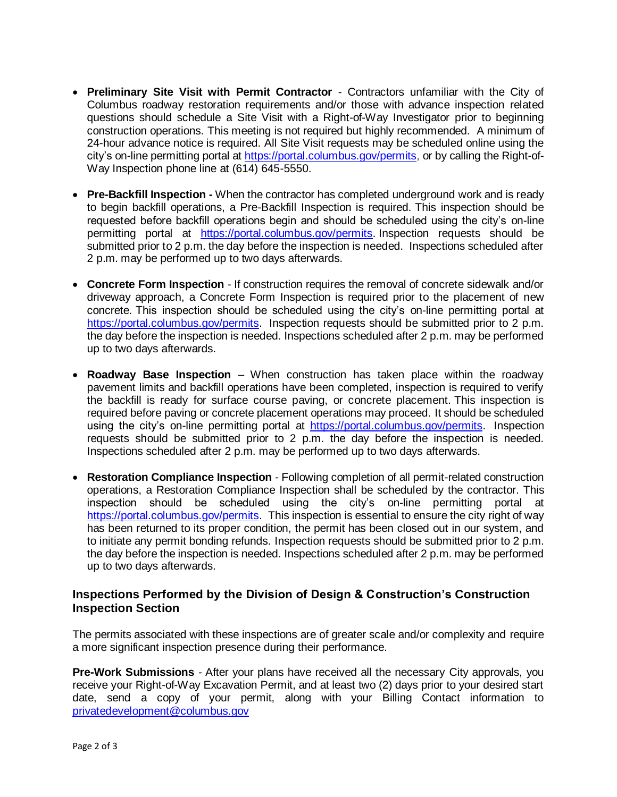- **Preliminary Site Visit with Permit Contractor**  Contractors unfamiliar with the City of Columbus roadway restoration requirements and/or those with advance inspection related questions should schedule a Site Visit with a Right-of-Way Investigator prior to beginning construction operations. This meeting is not required but highly recommended. A minimum of 24-hour advance notice is required. All Site Visit requests may be scheduled online using the city's on-line permitting portal at<https://portal.columbus.gov/permits,> or by calling the Right-of-Way Inspection phone line at (614) 645-5550.
- **Pre-Backfill Inspection -** When the contractor has completed underground work and is ready to begin backfill operations, a Pre-Backfill Inspection is required. This inspection should be requested before backfill operations begin and should be scheduled using the city's on-line permitting portal at [https://portal.columbus.gov/permits.](https://portal.columbus.gov/permits,) Inspection requests should be submitted prior to 2 p.m. the day before the inspection is needed. Inspections scheduled after 2 p.m. may be performed up to two days afterwards.
- **Concrete Form Inspection** If construction requires the removal of concrete sidewalk and/or driveway approach, a Concrete Form Inspection is required prior to the placement of new concrete. This inspection should be scheduled using the city's on-line permitting portal at [https://portal.columbus.gov/permits.](https://portal.columbus.gov/permits,) Inspection requests should be submitted prior to 2 p.m. the day before the inspection is needed. Inspections scheduled after 2 p.m. may be performed up to two days afterwards.
- **Roadway Base Inspection** When construction has taken place within the roadway pavement limits and backfill operations have been completed, inspection is required to verify the backfill is ready for surface course paving, or concrete placement. This inspection is required before paving or concrete placement operations may proceed. It should be scheduled using the city's on-line permitting portal at [https://portal.columbus.gov/permits.](https://portal.columbus.gov/permits,) Inspection requests should be submitted prior to 2 p.m. the day before the inspection is needed. Inspections scheduled after 2 p.m. may be performed up to two days afterwards.
- **Restoration Compliance Inspection** Following completion of all permit-related construction operations, a Restoration Compliance Inspection shall be scheduled by the contractor. This inspection should be scheduled using the city's on-line permitting portal at [https://portal.columbus.gov/permits.](https://portal.columbus.gov/permits,) This inspection is essential to ensure the city right of way has been returned to its proper condition, the permit has been closed out in our system, and to initiate any permit bonding refunds. Inspection requests should be submitted prior to 2 p.m. the day before the inspection is needed. Inspections scheduled after 2 p.m. may be performed up to two days afterwards.

# **Inspections Performed by the Division of Design & Construction's Construction Inspection Section**

The permits associated with these inspections are of greater scale and/or complexity and require a more significant inspection presence during their performance.

**Pre-Work Submissions** - After your plans have received all the necessary City approvals, you receive your Right-of-Way Excavation Permit, and at least two (2) days prior to your desired start date, send a copy of your permit, along with your Billing Contact information to [privatedevelopment@columbus.gov](mailto:privatedevelopment@columbus.gov)